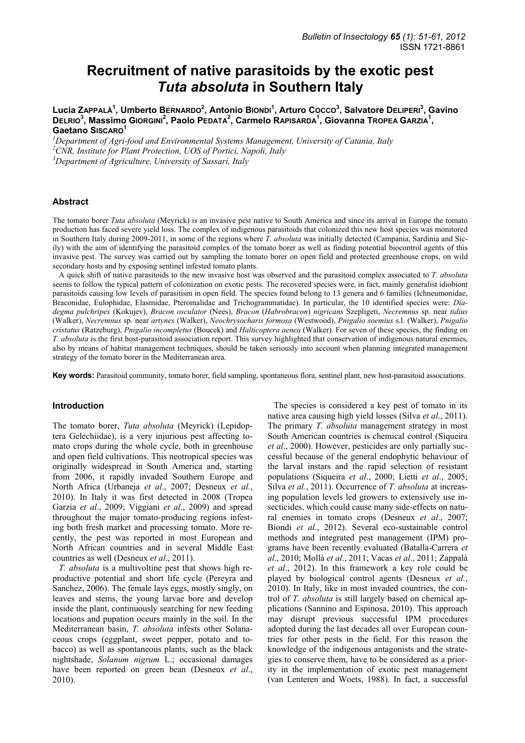# **Recruitment of native parasitoids by the exotic pest**  *Tuta absoluta* **in Southern Italy**

Lucia ZAPPALÀ<sup>1</sup>, Umberto BERNARDO<sup>2</sup>, Antonio BIONDI<sup>1</sup>, Arturo Cocco<sup>3</sup>, Salvatore DELIPERI<sup>3</sup>, Gavino DELRIO<sup>3</sup>, Massimo Giorgini<sup>2</sup>, Paolo Pedata<sup>2</sup>, Carmelo Rapisarda<sup>1</sup>, Giovanna Tropea Garzia<sup>1</sup>, **Gaetano SISCARO<sup>1</sup>**

*1 Department of Agri-food and Environmental Systems Management, University of Catania, Italy 2 CNR, Institute for Plant Protection, UOS of Portici, Napoli, Italy 3 Department of Agriculture, University of Sassari, Italy* 

#### **Abstract**

The tomato borer *Tuta absoluta* (Meyrick) is an invasive pest native to South America and since its arrival in Europe the tomato production has faced severe yield loss. The complex of indigenous parasitoids that colonized this new host species was monitored in Southern Italy during 2009-2011, in some of the regions where *T. absoluta* was initially detected (Campania, Sardinia and Sicily) with the aim of identifying the parasitoid complex of the tomato borer as well as finding potential biocontrol agents of this invasive pest. The survey was carried out by sampling the tomato borer on open field and protected greenhouse crops, on wild secondary hosts and by exposing sentinel infested tomato plants.

A quick shift of native parasitoids to the new invasive host was observed and the parasitoid complex associated to *T. absoluta* seems to follow the typical pattern of colonization on exotic pests. The recovered species were, in fact, mainly generalist idiobiont parasitoids causing low levels of parasitism in open field. The species found belong to 13 genera and 6 families (Ichneumonidae, Braconidae, Eulophidae, Elasmidae, Pteromalidae and Trichogrammatidae). In particular, the 10 identified species were: *Diadegma pulchripes* (Kokujev), *Bracon osculator* (Nees), *Bracon* (*Habrobracon*) *nigricans* Szepligeti, *Necremnus* sp. near *tidius* (Walker), *Necremnus* sp. near *artynes* (Walker), *Neochrysocharis formosa* (Westwood), *Pnigalio soemius* s.l. (Walker), *Pnigalio cristatus* (Ratzeburg), *Pnigalio incompletus* (Boucek) and *Halticoptera aenea* (Walker). For seven of these species, the finding on *T. absoluta* is the first host-parasitoid association report. This survey highlighted that conservation of indigenous natural enemies, also by means of habitat management techniques, should be taken seriously into account when planning integrated management strategy of the tomato borer in the Mediterranean area.

**Key words:** Parasitoid community, tomato borer, field sampling, spontaneous flora, sentinel plant, new host-parasitoid associations.

#### **Introduction**

The tomato borer, *Tuta absoluta* (Meyrick) (Lepidoptera Gelechiidae), is a very injurious pest affecting tomato crops during the whole cycle, both in greenhouse and open field cultivations. This neotropical species was originally widespread in South America and, starting from 2006, it rapidly invaded Southern Europe and North Africa (Urbaneja *et al*., 2007; Desneux *et al.*, 2010). In Italy it was first detected in 2008 (Tropea Garzia *et al*., 2009; Viggiani *et al*., 2009) and spread throughout the major tomato-producing regions infesting both fresh market and processing tomato. More recently, the pest was reported in most European and North African countries and in several Middle East countries as well (Desneux *et al*., 2011).

*T. absoluta* is a multivoltine pest that shows high reproductive potential and short life cycle (Pereyra and Sanchez, 2006). The female lays eggs, mostly singly, on leaves and stems, the young larvae bore and develop inside the plant, continuously searching for new feeding locations and pupation occurs mainly in the soil. In the Mediterranean basin, *T. absoluta* infests other Solanaceous crops (eggplant, sweet pepper, potato and tobacco) as well as spontaneous plants, such as the black nightshade, *Solanum nigrum* L.; occasional damages have been reported on green bean (Desneux *et al*., 2010).

The species is considered a key pest of tomato in its native area causing high yield losses (Silva *et al*., 2011). The primary *T. absoluta* management strategy in most South American countries is chemical control (Siqueira *et al*., 2000). However, pesticides are only partially successful because of the general endophytic behaviour of the larval instars and the rapid selection of resistant populations (Siqueira *et al*., 2000; Lietti *et al*., 2005; Silva *et al.*, 2011). Occurrence of *T. absoluta* at increasing population levels led growers to extensively use insecticides, which could cause many side-effects on natural enemies in tomato crops (Desneux *et al*., 2007; Biondi *et al.*, 2012). Several eco-sustainable control methods and integrated pest management (IPM) programs have been recently evaluated (Batalla-Carrera *et al*., 2010; Mollá *et al*., 2011; Vacas *et al*., 2011; Zappalà *et al*., 2012). In this framework a key role could be played by biological control agents (Desneux *et al.*, 2010). In Italy, like in most invaded countries, the control of *T. absoluta* is still largely based on chemical applications (Sannino and Espinosa, 2010). This approach may disrupt previous successful IPM procedures adopted during the last decades all over European countries for other pests in the field. For this reason the knowledge of the indigenous antagonists and the strategies to conserve them, have to be considered as a priority in the implementation of exotic pest management (van Lenteren and Woets, 1988). In fact, a successful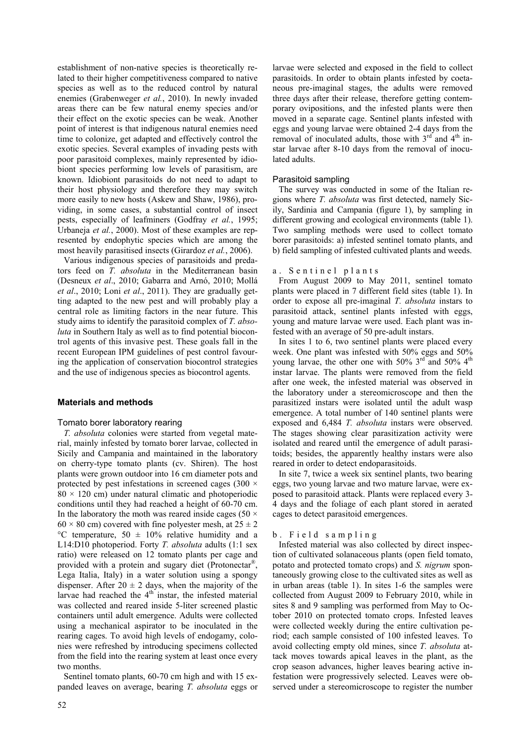establishment of non-native species is theoretically related to their higher competitiveness compared to native species as well as to the reduced control by natural enemies (Grabenweger *et al.*, 2010). In newly invaded areas there can be few natural enemy species and/or their effect on the exotic species can be weak. Another point of interest is that indigenous natural enemies need time to colonize, get adapted and effectively control the exotic species. Several examples of invading pests with poor parasitoid complexes, mainly represented by idiobiont species performing low levels of parasitism, are known. Idiobiont parasitoids do not need to adapt to their host physiology and therefore they may switch more easily to new hosts (Askew and Shaw, 1986), providing, in some cases, a substantial control of insect pests, especially of leafminers (Godfray *et al.*, 1995; Urbaneja *et al.*, 2000). Most of these examples are represented by endophytic species which are among the most heavily parasitised insects (Girardoz *et al.*, 2006).

Various indigenous species of parasitoids and predators feed on *T. absoluta* in the Mediterranean basin (Desneux *et al*., 2010; Gabarra and Arnó, 2010; Mollá *et al*., 2010; Loni *et al*., 2011). They are gradually getting adapted to the new pest and will probably play a central role as limiting factors in the near future. This study aims to identify the parasitoid complex of *T. absoluta* in Southern Italy as well as to find potential biocontrol agents of this invasive pest. These goals fall in the recent European IPM guidelines of pest control favouring the application of conservation biocontrol strategies and the use of indigenous species as biocontrol agents.

# **Materials and methods**

# Tomato borer laboratory rearing

*T. absoluta* colonies were started from vegetal material, mainly infested by tomato borer larvae, collected in Sicily and Campania and maintained in the laboratory on cherry-type tomato plants (cv. Shiren). The host plants were grown outdoor into 16 cm diameter pots and protected by pest infestations in screened cages (300 ×  $80 \times 120$  cm) under natural climatic and photoperiodic conditions until they had reached a height of 60-70 cm. In the laboratory the moth was reared inside cages (50  $\times$  $60 \times 80$  cm) covered with fine polyester mesh, at  $25 \pm 2$ °C temperature,  $50 \pm 10\%$  relative humidity and a L14:D10 photoperiod. Forty *T. absoluta* adults (1:1 sex ratio) were released on 12 tomato plants per cage and provided with a protein and sugary diet (Protonectar®, Lega Italia, Italy) in a water solution using a spongy dispenser. After  $20 \pm 2$  days, when the majority of the larvae had reached the  $4<sup>th</sup>$  instar, the infested material was collected and reared inside 5-liter screened plastic containers until adult emergence. Adults were collected using a mechanical aspirator to be inoculated in the rearing cages. To avoid high levels of endogamy, colonies were refreshed by introducing specimens collected from the field into the rearing system at least once every two months.

Sentinel tomato plants, 60-70 cm high and with 15 expanded leaves on average, bearing *T. absoluta* eggs or larvae were selected and exposed in the field to collect parasitoids. In order to obtain plants infested by coetaneous pre-imaginal stages, the adults were removed three days after their release, therefore getting contemporary ovipositions, and the infested plants were then moved in a separate cage. Sentinel plants infested with eggs and young larvae were obtained 2-4 days from the removal of inoculated adults, those with  $3<sup>rd</sup>$  and  $4<sup>th</sup>$  instar larvae after 8-10 days from the removal of inoculated adults.

#### Parasitoid sampling

The survey was conducted in some of the Italian regions where *T. absoluta* was first detected, namely Sicily, Sardinia and Campania (figure 1), by sampling in different growing and ecological environments (table 1). Two sampling methods were used to collect tomato borer parasitoids: a) infested sentinel tomato plants, and b) field sampling of infested cultivated plants and weeds.

#### a. Sentinel plants

From August 2009 to May 2011, sentinel tomato plants were placed in 7 different field sites (table 1). In order to expose all pre-imaginal *T. absoluta* instars to parasitoid attack, sentinel plants infested with eggs, young and mature larvae were used. Each plant was infested with an average of 50 pre-adult instars.

In sites 1 to 6, two sentinel plants were placed every week. One plant was infested with 50% eggs and 50% young larvae, the other one with 50%  $3<sup>rd</sup>$  and 50%  $4<sup>th</sup>$ instar larvae. The plants were removed from the field after one week, the infested material was observed in the laboratory under a stereomicroscope and then the parasitized instars were isolated until the adult wasp emergence. A total number of 140 sentinel plants were exposed and 6,484 *T. absoluta* instars were observed. The stages showing clear parasitization activity were isolated and reared until the emergence of adult parasitoids; besides, the apparently healthy instars were also reared in order to detect endoparasitoids.

In site 7, twice a week six sentinel plants, two bearing eggs, two young larvae and two mature larvae, were exposed to parasitoid attack. Plants were replaced every 3- 4 days and the foliage of each plant stored in aerated cages to detect parasitoid emergences.

# b. Field sampling

Infested material was also collected by direct inspection of cultivated solanaceous plants (open field tomato, potato and protected tomato crops) and *S. nigrum* spontaneously growing close to the cultivated sites as well as in urban areas (table 1). In sites 1-6 the samples were collected from August 2009 to February 2010, while in sites 8 and 9 sampling was performed from May to October 2010 on protected tomato crops. Infested leaves were collected weekly during the entire cultivation period; each sample consisted of 100 infested leaves. To avoid collecting empty old mines, since *T. absoluta* attack moves towards apical leaves in the plant, as the crop season advances, higher leaves bearing active infestation were progressively selected. Leaves were observed under a stereomicroscope to register the number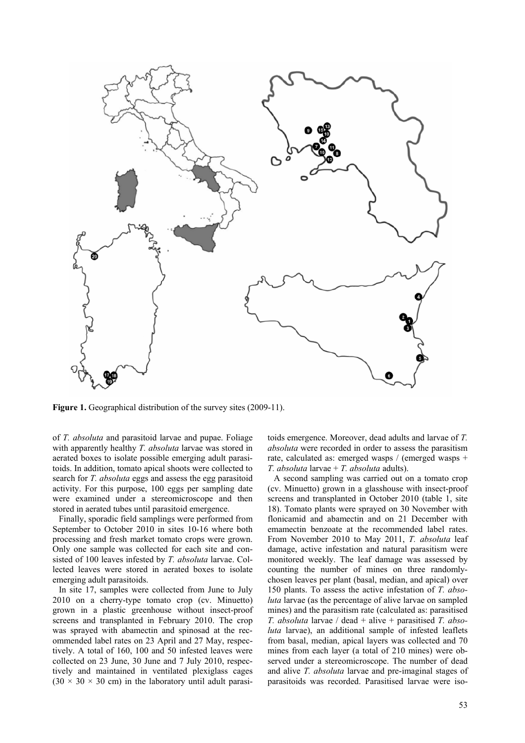

**Figure 1.** Geographical distribution of the survey sites (2009-11).

of *T. absoluta* and parasitoid larvae and pupae. Foliage with apparently healthy *T. absoluta* larvae was stored in aerated boxes to isolate possible emerging adult parasitoids. In addition, tomato apical shoots were collected to search for *T. absoluta* eggs and assess the egg parasitoid activity. For this purpose, 100 eggs per sampling date were examined under a stereomicroscope and then stored in aerated tubes until parasitoid emergence.

Finally, sporadic field samplings were performed from September to October 2010 in sites 10-16 where both processing and fresh market tomato crops were grown. Only one sample was collected for each site and consisted of 100 leaves infested by *T. absoluta* larvae. Collected leaves were stored in aerated boxes to isolate emerging adult parasitoids.

In site 17, samples were collected from June to July 2010 on a cherry-type tomato crop (cv. Minuetto) grown in a plastic greenhouse without insect-proof screens and transplanted in February 2010. The crop was sprayed with abamectin and spinosad at the recommended label rates on 23 April and 27 May, respectively. A total of 160, 100 and 50 infested leaves were collected on 23 June, 30 June and 7 July 2010, respectively and maintained in ventilated plexiglass cages  $(30 \times 30 \times 30 \text{ cm})$  in the laboratory until adult parasitoids emergence. Moreover, dead adults and larvae of *T. absoluta* were recorded in order to assess the parasitism rate, calculated as: emerged wasps / (emerged wasps + *T. absoluta* larvae + *T. absoluta* adults).

A second sampling was carried out on a tomato crop (cv. Minuetto) grown in a glasshouse with insect-proof screens and transplanted in October 2010 (table 1, site 18). Tomato plants were sprayed on 30 November with flonicamid and abamectin and on 21 December with emamectin benzoate at the recommended label rates. From November 2010 to May 2011, *T. absoluta* leaf damage, active infestation and natural parasitism were monitored weekly. The leaf damage was assessed by counting the number of mines on three randomlychosen leaves per plant (basal, median, and apical) over 150 plants. To assess the active infestation of *T. absoluta* larvae (as the percentage of alive larvae on sampled mines) and the parasitism rate (calculated as: parasitised *T. absoluta* larvae / dead + alive + parasitised *T. absoluta* larvae), an additional sample of infested leaflets from basal, median, apical layers was collected and 70 mines from each layer (a total of 210 mines) were observed under a stereomicroscope. The number of dead and alive *T. absoluta* larvae and pre-imaginal stages of parasitoids was recorded. Parasitised larvae were iso-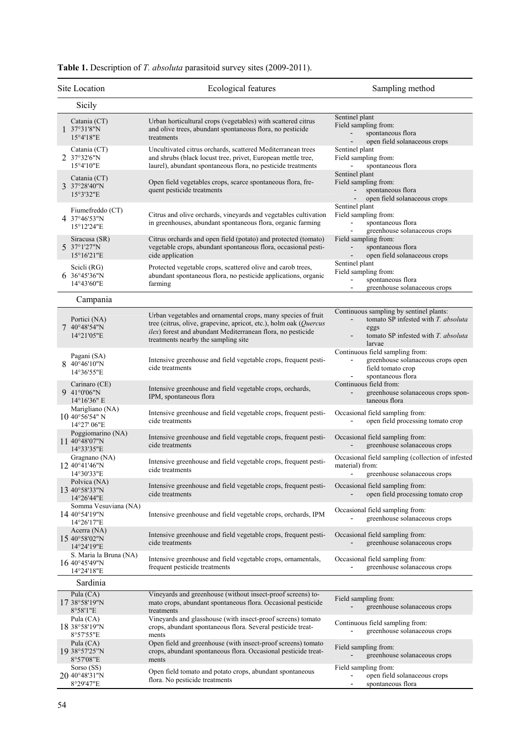|   | Site Location                                              | Ecological features                                                                                                                                                                                                                     | Sampling method                                                                                                                                                     |
|---|------------------------------------------------------------|-----------------------------------------------------------------------------------------------------------------------------------------------------------------------------------------------------------------------------------------|---------------------------------------------------------------------------------------------------------------------------------------------------------------------|
|   | Sicily                                                     |                                                                                                                                                                                                                                         |                                                                                                                                                                     |
|   | Catania (CT)<br>1.37°31'8"N<br>15°4'18"E                   | Urban horticultural crops (vegetables) with scattered citrus<br>and olive trees, abundant spontaneous flora, no pesticide<br>treatments                                                                                                 | Sentinel plant<br>Field sampling from:<br>spontaneous flora<br>open field solanaceous crops                                                                         |
|   | Catania (CT)<br>2 37°32'6"N<br>15°4'10"E                   | Uncultivated citrus orchards, scattered Mediterranean trees<br>and shrubs (black locust tree, privet, European mettle tree,<br>laurel), abundant spontaneous flora, no pesticide treatments                                             | Sentinel plant<br>Field sampling from:<br>spontaneous flora                                                                                                         |
|   | Catania (CT)<br>3 37°28'40"N<br>15°3'32"E                  | Open field vegetables crops, scarce spontaneous flora, fre-<br>quent pesticide treatments                                                                                                                                               | Sentinel plant<br>Field sampling from:<br>spontaneous flora<br>open field solanaceous crops                                                                         |
|   | Fiumefreddo (CT)<br>4 37°46'53"N<br>15°12'24"E             | Citrus and olive orchards, vineyards and vegetables cultivation<br>in greenhouses, abundant spontaneous flora, organic farming                                                                                                          | Sentinel plant<br>Field sampling from:<br>spontaneous flora<br>greenhouse solanaceous crops                                                                         |
|   | Siracusa (SR)<br>5 37°1'27"N<br>15°16'21"E                 | Citrus orchards and open field (potato) and protected (tomato)<br>vegetable crops, abundant spontaneous flora, occasional pesti-<br>cide application                                                                                    | Field sampling from:<br>spontaneous flora<br>open field solanaceous crops                                                                                           |
|   | Scicli (RG)<br>6 36°45'36"N<br>14°43'60"E                  | Protected vegetable crops, scattered olive and carob trees,<br>abundant spontaneous flora, no pesticide applications, organic<br>farming                                                                                                | Sentinel plant<br>Field sampling from:<br>spontaneous flora<br>greenhouse solanaceous crops<br>$\overline{\phantom{a}}$                                             |
|   | Campania                                                   |                                                                                                                                                                                                                                         |                                                                                                                                                                     |
| 7 | Portici (NA)<br>40°48'54"N<br>14°21'05"E                   | Urban vegetables and ornamental crops, many species of fruit<br>tree (citrus, olive, grapevine, apricot, etc.), holm oak (Quercus<br>ilex) forest and abundant Mediterranean flora, no pesticide<br>treatments nearby the sampling site | Continuous sampling by sentinel plants:<br>tomato SP infested with T. absoluta<br>eggs<br>tomato SP infested with T. absoluta<br>$\overline{\phantom{0}}$<br>larvae |
|   | Pagani (SA)<br>8 40°46'10"N<br>14°36'55"E                  | Intensive greenhouse and field vegetable crops, frequent pesti-<br>cide treatments                                                                                                                                                      | Continuous field sampling from:<br>greenhouse solanaceous crops open<br>field tomato crop<br>spontaneous flora                                                      |
|   | Carinaro (CE)<br>9 41°0'06"N<br>14°16'36" E                | Intensive greenhouse and field vegetable crops, orchards,<br>IPM, spontaneous flora                                                                                                                                                     | Continuous field from:<br>greenhouse solanaceous crops spon-<br>taneous flora                                                                                       |
|   | Marigliano (NA)<br>$10\,40^{\circ}56'54"$ N<br>14°27' 06"E | Intensive greenhouse and field vegetable crops, frequent pesti-<br>cide treatments                                                                                                                                                      | Occasional field sampling from:<br>open field processing tomato crop                                                                                                |
|   | Poggiomarino (NA)<br>11 40°48'07"N<br>14°33'35"E           | Intensive greenhouse and field vegetable crops, frequent pesti-<br>cide treatments                                                                                                                                                      | Occasional field sampling from:<br>greenhouse solanaceous crops                                                                                                     |
|   | Gragnano (NA)<br>12 40°41'46"N<br>14°30'33"E               | Intensive greenhouse and field vegetable crops, frequent pesti-<br>cide treatments                                                                                                                                                      | Occasional field sampling (collection of infested<br>material) from:<br>- greenhouse solanaceous crops                                                              |
|   | Polvica (NA)<br>13 40°58'33"N<br>14°26'44"E                | Intensive greenhouse and field vegetable crops, frequent pesti-<br>cide treatments                                                                                                                                                      | Occasional field sampling from:<br>open field processing tomato crop                                                                                                |
|   | Somma Vesuviana (NA)<br>14 40°54'19"N<br>14°26'17"E        | Intensive greenhouse and field vegetable crops, orchards, IPM                                                                                                                                                                           | Occasional field sampling from:<br>greenhouse solanaceous crops                                                                                                     |
|   | Acerra (NA)<br>15 40°58'02"N<br>14°24'19"E                 | Intensive greenhouse and field vegetable crops, frequent pesti-<br>cide treatments                                                                                                                                                      | Occasional field sampling from:<br>greenhouse solanaceous crops                                                                                                     |
|   | S. Maria la Bruna (NA)<br>16 40°45'49"N<br>14°24'18"E      | Intensive greenhouse and field vegetable crops, ornamentals,<br>frequent pesticide treatments                                                                                                                                           | Occasional field sampling from:<br>greenhouse solanaceous crops                                                                                                     |
|   | Sardinia                                                   |                                                                                                                                                                                                                                         |                                                                                                                                                                     |
|   | Pula (CA)<br>17 38°58'19"N<br>8°58'1"E                     | Vineyards and greenhouse (without insect-proof screens) to-<br>mato crops, abundant spontaneous flora. Occasional pesticide<br>treatments                                                                                               | Field sampling from:<br>greenhouse solanaceous crops                                                                                                                |
|   | Pula (CA)<br>18 38°58'19"N<br>8°57'55"E                    | Vineyards and glasshouse (with insect-proof screens) tomato<br>crops, abundant spontaneous flora. Several pesticide treat-<br>ments                                                                                                     | Continuous field sampling from:<br>greenhouse solanaceous crops                                                                                                     |
|   | Pula (CA)<br>19 38°57'25"N<br>8°57'08"E                    | Open field and greenhouse (with insect-proof screens) tomato<br>crops, abundant spontaneous flora. Occasional pesticide treat-<br>ments                                                                                                 | Field sampling from:<br>greenhouse solanaceous crops                                                                                                                |
|   | Sorso (SS)<br>20 40°48'31"N<br>8°29'47"E                   | Open field tomato and potato crops, abundant spontaneous<br>flora. No pesticide treatments                                                                                                                                              | Field sampling from:<br>open field solanaceous crops<br>spontaneous flora<br>$\overline{\phantom{a}}$                                                               |

| Table 1. Description of T. absoluta parasitoid survey sites (2009-2011). |  |  |  |  |  |
|--------------------------------------------------------------------------|--|--|--|--|--|
|--------------------------------------------------------------------------|--|--|--|--|--|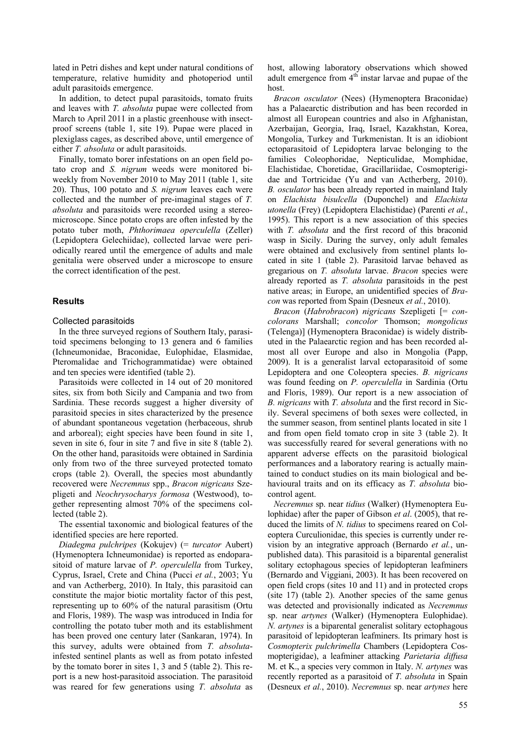lated in Petri dishes and kept under natural conditions of temperature, relative humidity and photoperiod until adult parasitoids emergence.

In addition, to detect pupal parasitoids, tomato fruits and leaves with *T. absoluta* pupae were collected from March to April 2011 in a plastic greenhouse with insectproof screens (table 1, site 19). Pupae were placed in plexiglass cages, as described above, until emergence of either *T. absoluta* or adult parasitoids.

Finally, tomato borer infestations on an open field potato crop and *S. nigrum* weeds were monitored biweekly from November 2010 to May 2011 (table 1, site 20). Thus, 100 potato and *S. nigrum* leaves each were collected and the number of pre-imaginal stages of *T. absoluta* and parasitoids were recorded using a stereomicroscope. Since potato crops are often infested by the potato tuber moth, *Phthorimaea operculella* (Zeller) (Lepidoptera Gelechiidae), collected larvae were periodically reared until the emergence of adults and male genitalia were observed under a microscope to ensure the correct identification of the pest.

# **Results**

#### Collected parasitoids

In the three surveyed regions of Southern Italy, parasitoid specimens belonging to 13 genera and 6 families (Ichneumonidae, Braconidae, Eulophidae, Elasmidae, Pteromalidae and Trichogrammatidae) were obtained and ten species were identified (table 2).

Parasitoids were collected in 14 out of 20 monitored sites, six from both Sicily and Campania and two from Sardinia. These records suggest a higher diversity of parasitoid species in sites characterized by the presence of abundant spontaneous vegetation (herbaceous, shrub and arboreal); eight species have been found in site 1, seven in site 6, four in site 7 and five in site 8 (table 2). On the other hand, parasitoids were obtained in Sardinia only from two of the three surveyed protected tomato crops (table 2). Overall, the species most abundantly recovered were *Necremnus* spp., *Bracon nigricans* Szepligeti and *Neochrysocharys formosa* (Westwood), together representing almost 70% of the specimens collected (table 2).

The essential taxonomic and biological features of the identified species are here reported.

*Diadegma pulchripes* (Kokujev) (= *turcator* Aubert) (Hymenoptera Ichneumonidae) is reported as endoparasitoid of mature larvae of *P. operculella* from Turkey, Cyprus, Israel, Crete and China (Pucci *et al.*, 2003; Yu and van Actherberg, 2010). In Italy, this parasitoid can constitute the major biotic mortality factor of this pest, representing up to 60% of the natural parasitism (Ortu and Floris, 1989). The wasp was introduced in India for controlling the potato tuber moth and its establishment has been proved one century later (Sankaran, 1974). In this survey, adults were obtained from *T. absoluta*infested sentinel plants as well as from potato infested by the tomato borer in sites 1, 3 and 5 (table 2). This report is a new host-parasitoid association. The parasitoid was reared for few generations using *T. absoluta* as host, allowing laboratory observations which showed adult emergence from  $4<sup>th</sup>$  instar larvae and pupae of the host.

*Bracon osculator* (Nees) (Hymenoptera Braconidae) has a Palaearctic distribution and has been recorded in almost all European countries and also in Afghanistan, Azerbaijan, Georgia, Iraq, Israel, Kazakhstan, Korea, Mongolia, Turkey and Turkmenistan. It is an idiobiont ectoparasitoid of Lepidoptera larvae belonging to the families Coleophoridae, Nepticulidae, Momphidae, Elachistidae, Choretidae, Gracillariidae, Cosmopterigidae and Tortricidae (Yu and van Actherberg, 2010). *B. osculator* has been already reported in mainland Italy on *Elachista bisulcella* (Duponchel) and *Elachista utonella* (Frey) (Lepidoptera Elachistidae) (Parenti *et al.*, 1995). This report is a new association of this species with *T. absoluta* and the first record of this braconid wasp in Sicily. During the survey, only adult females were obtained and exclusively from sentinel plants located in site 1 (table 2). Parasitoid larvae behaved as gregarious on *T. absoluta* larvae. *Bracon* species were already reported as *T. absoluta* parasitoids in the pest native areas; in Europe, an unidentified species of *Bracon* was reported from Spain (Desneux *et al.*, 2010).

*Bracon* (*Habrobracon*) *nigricans* Szepligeti [= *concolorans* Marshall; *concolor* Thomson; *mongolicus*  (Telenga)] (Hymenoptera Braconidae) is widely distributed in the Palaearctic region and has been recorded almost all over Europe and also in Mongolia (Papp, 2009). It is a generalist larval ectoparasitoid of some Lepidoptera and one Coleoptera species. *B. nigricans*  was found feeding on *P. operculella* in Sardinia (Ortu and Floris, 1989). Our report is a new association of *B. nigricans* with *T. absoluta* and the first record in Sicily. Several specimens of both sexes were collected, in the summer season, from sentinel plants located in site 1 and from open field tomato crop in site 3 (table 2). It was successfully reared for several generations with no apparent adverse effects on the parasitoid biological performances and a laboratory rearing is actually maintained to conduct studies on its main biological and behavioural traits and on its efficacy as *T. absoluta* biocontrol agent.

*Necremnus* sp. near *tidius* (Walker) (Hymenoptera Eulophidae) after the paper of Gibson *et al*. (2005), that reduced the limits of *N. tidius* to specimens reared on Coleoptera Curculionidae, this species is currently under revision by an integrative approach (Bernardo *et al.*, unpublished data). This parasitoid is a biparental generalist solitary ectophagous species of lepidopteran leafminers (Bernardo and Viggiani, 2003). It has been recovered on open field crops (sites 10 and 11) and in protected crops (site 17) (table 2). Another species of the same genus was detected and provisionally indicated as *Necremnus* sp. near *artynes* (Walker) (Hymenoptera Eulophidae). *N. artynes* is a biparental generalist solitary ectophagous parasitoid of lepidopteran leafminers. Its primary host is *Cosmopterix pulchrimella* Chambers (Lepidoptera Cosmopterigidae), a leafminer attacking *Parietaria diffusa* M. et K., a species very common in Italy. *N. artynes* was recently reported as a parasitoid of *T. absoluta* in Spain (Desneux *et al.*, 2010). *Necremnus* sp. near *artynes* here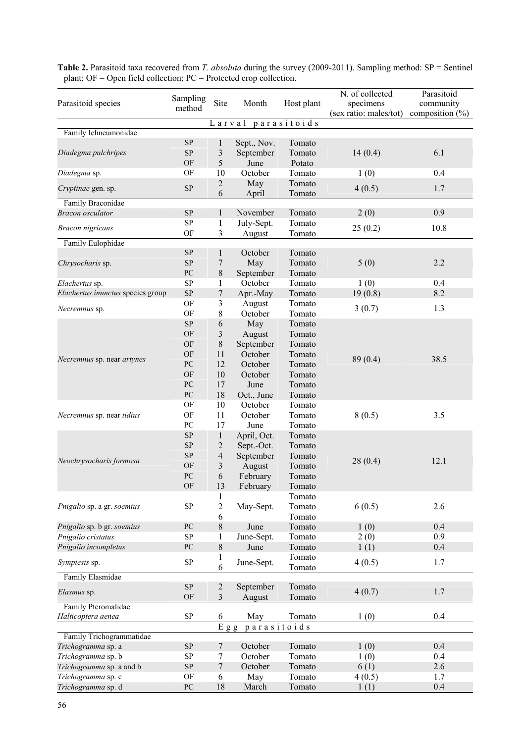**Table 2.** Parasitoid taxa recovered from *T. absoluta* during the survey (2009-2011). Sampling method: SP = Sentinel plant; OF = Open field collection; PC = Protected crop collection.

| Parasitoid species                | Sampling<br>method | Site                    | Month               | Host plant       | N. of collected<br>specimens<br>(sex ratio: males/tot) | Parasitoid<br>community<br>composition $(\% )$ |
|-----------------------------------|--------------------|-------------------------|---------------------|------------------|--------------------------------------------------------|------------------------------------------------|
|                                   |                    |                         | Larval parasitoids  |                  |                                                        |                                                |
| Family Ichneumonidae              |                    |                         |                     |                  |                                                        |                                                |
|                                   | ${\rm SP}$         | 1                       | Sept., Nov.         | Tomato           |                                                        |                                                |
| Diadegma pulchripes               | ${\rm SP}$         | $\mathfrak{Z}$          | September           | Tomato           | 14(0.4)                                                | 6.1                                            |
|                                   | OF                 | 5                       | June                | Potato           |                                                        |                                                |
| Diadegma sp.                      | OF                 | 10                      | October             | Tomato           | 1(0)                                                   | 0.4                                            |
| Cryptinae gen. sp.                | SP                 | $\sqrt{2}$<br>6         | May<br>April        | Tomato<br>Tomato | 4(0.5)                                                 | 1.7                                            |
| Family Braconidae                 |                    |                         |                     |                  |                                                        |                                                |
| <b>Bracon</b> osculator           | SP                 | 1                       | November            | Tomato           | 2(0)                                                   | 0.9                                            |
|                                   | ${\rm SP}$         | $\mathbf{1}$            | July-Sept.          | Tomato           |                                                        |                                                |
| <b>Bracon</b> nigricans           | OF                 | 3                       | August              | Tomato           | 25(0.2)                                                | 10.8                                           |
| Family Eulophidae                 |                    |                         |                     |                  |                                                        |                                                |
|                                   | ${\rm SP}$         | $\mathbf{1}$            | October             | Tomato           |                                                        |                                                |
| Chrysocharis sp.                  | ${\rm SP}$         | 7                       | May                 | Tomato           | 5(0)                                                   | 2.2                                            |
|                                   | PC                 | 8                       | September           | Tomato           |                                                        |                                                |
| Elachertus sp.                    | ${\rm SP}$         | $\mathbf{1}$            | October             | Tomato           | 1(0)                                                   | 0.4                                            |
| Elachertus inunctus species group | ${\rm SP}$         | $\boldsymbol{7}$        | Apr.-May            | Tomato           | 19(0.8)                                                | 8.2                                            |
| Necremnus sp.                     | OF                 | 3                       | August              | Tomato           | 3(0.7)                                                 | 1.3                                            |
|                                   | OF                 | $\,$ 8 $\,$             | October             | Tomato           |                                                        |                                                |
|                                   | ${\rm SP}$         | 6                       | May                 | Tomato           |                                                        |                                                |
|                                   | OF                 | $\overline{\mathbf{3}}$ | August              | Tomato           |                                                        |                                                |
|                                   | OF                 | 8                       | September           | Tomato           |                                                        |                                                |
| Necremnus sp. near artynes        | OF                 | 11                      | October             | Tomato           | 89(0.4)                                                | 38.5                                           |
|                                   | PC                 | 12                      | October             | Tomato           |                                                        |                                                |
|                                   | OF                 | 10                      | October             | Tomato           |                                                        |                                                |
|                                   | PC                 | 17                      | June                | Tomato           |                                                        |                                                |
|                                   | PC                 | 18                      | Oct., June          | Tomato           |                                                        |                                                |
|                                   | OF                 | 10                      | October             | Tomato           |                                                        |                                                |
| Necremnus sp. near tidius         | OF                 | 11                      | October             | Tomato           | 8(0.5)                                                 | 3.5                                            |
|                                   | PC                 | 17                      | June                | Tomato           |                                                        |                                                |
|                                   | ${\rm SP}$         | $\mathbf{1}$            | April, Oct.         | Tomato           |                                                        |                                                |
|                                   | ${\rm SP}$         | $\overline{c}$          | Sept.-Oct.          | Tomato           |                                                        |                                                |
| Neochrysocharis formosa           | ${\rm SP}$         | $\overline{4}$          | September           | Tomato           | 28(0.4)                                                | 12.1                                           |
|                                   | OF                 | 3                       | August              | Tomato           |                                                        |                                                |
|                                   | PC                 | 6                       | February            | Tomato           |                                                        |                                                |
|                                   | OF                 | 13                      | February            | Tomato           |                                                        |                                                |
|                                   |                    | 1                       |                     | Tomato           |                                                        |                                                |
| Pnigalio sp. a gr. soemius        | ${\rm SP}$         | $\sqrt{2}$              | May-Sept.           | Tomato           | 6(0.5)                                                 | 2.6                                            |
| Pnigalio sp. b gr. soemius        | PC                 | 6<br>8                  |                     | Tomato           |                                                        | 0.4                                            |
|                                   | ${\rm SP}$         |                         | June                | Tomato           | 1(0)                                                   | 0.9                                            |
| Pnigalio cristatus                | PC                 | 1<br>$8\,$              | June-Sept.          | Tomato<br>Tomato | 2(0)                                                   | 0.4                                            |
| Pnigalio incompletus              |                    | 1                       | June                | Tomato           | 1(1)                                                   |                                                |
| Sympiesis sp.                     | ${\rm SP}$         | 6                       | June-Sept.          | Tomato           | 4(0.5)                                                 | 1.7                                            |
| Family Elasmidae                  |                    |                         |                     |                  |                                                        |                                                |
| Elasmus sp.                       | SP<br>OF           | $\boldsymbol{2}$<br>3   | September<br>August | Tomato<br>Tomato | 4(0.7)                                                 | 1.7                                            |
| Family Pteromalidae               |                    |                         |                     |                  |                                                        |                                                |
| Halticoptera aenea                | <b>SP</b>          | 6                       | May                 | Tomato           | 1(0)                                                   | 0.4                                            |
|                                   |                    | $E$ g g                 | $p$ arasitoids      |                  |                                                        |                                                |
| Family Trichogrammatidae          |                    |                         |                     |                  |                                                        |                                                |
| Trichogramma sp. a                | ${\rm SP}$         | $\overline{7}$          | October             | Tomato           | 1(0)                                                   | 0.4                                            |
| Trichogramma sp. b                | ${\rm SP}$         | 7                       | October             | Tomato           | 1(0)                                                   | 0.4                                            |
| Trichogramma sp. a and b          | ${\rm SP}$         | 7                       | October             | Tomato           | 6(1)                                                   | 2.6                                            |
| Trichogramma sp. c                | OF                 | 6                       | May                 | Tomato           | 4(0.5)                                                 | 1.7                                            |
| Trichogramma sp. d                | ${\rm P}{\bf C}$   | 18                      | March               | Tomato           | 1(1)                                                   | 0.4                                            |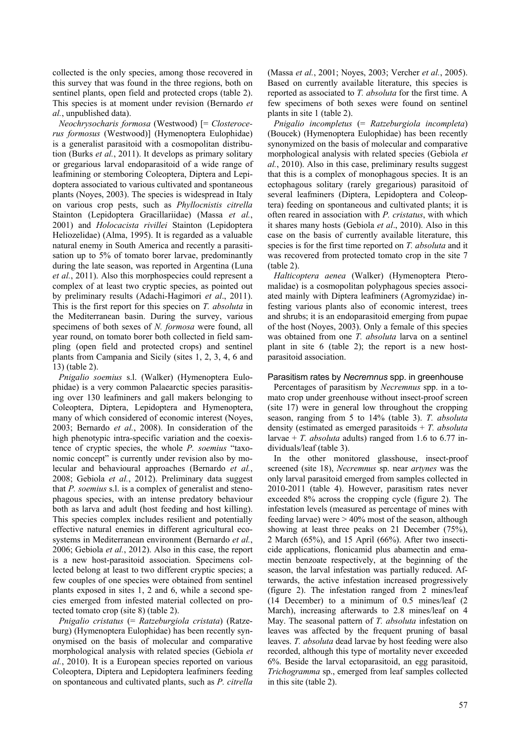collected is the only species, among those recovered in this survey that was found in the three regions, both on sentinel plants, open field and protected crops (table 2). This species is at moment under revision (Bernardo *et al.*, unpublished data).

*Neochrysocharis formosa* (Westwood) [= *Closterocerus formosus* (Westwood)] (Hymenoptera Eulophidae) is a generalist parasitoid with a cosmopolitan distribution (Burks *et al.*, 2011). It develops as primary solitary or gregarious larval endoparasitoid of a wide range of leafmining or stemboring Coleoptera, Diptera and Lepidoptera associated to various cultivated and spontaneous plants (Noyes, 2003). The species is widespread in Italy on various crop pests, such as *Phyllocnistis citrella* Stainton (Lepidoptera Gracillariidae) (Massa *et al.*, 2001) and *Holocacista rivillei* Stainton (Lepidoptera Heliozelidae) (Alma, 1995). It is regarded as a valuable natural enemy in South America and recently a parasitisation up to 5% of tomato borer larvae, predominantly during the late season, was reported in Argentina (Luna *et al.*, 2011). Also this morphospecies could represent a complex of at least two cryptic species, as pointed out by preliminary results (Adachi-Hagimori *et al*., 2011). This is the first report for this species on *T. absoluta* in the Mediterranean basin. During the survey, various specimens of both sexes of *N. formosa* were found, all year round, on tomato borer both collected in field sampling (open field and protected crops) and sentinel plants from Campania and Sicily (sites 1, 2, 3, 4, 6 and 13) (table 2).

*Pnigalio soemius* s.l. (Walker) (Hymenoptera Eulophidae) is a very common Palaearctic species parasitising over 130 leafminers and gall makers belonging to Coleoptera, Diptera, Lepidoptera and Hymenoptera, many of which considered of economic interest (Noyes, 2003; Bernardo *et al.*, 2008). In consideration of the high phenotypic intra-specific variation and the coexistence of cryptic species, the whole *P. soemius* "taxonomic concept" is currently under revision also by molecular and behavioural approaches (Bernardo *et al.*, 2008; Gebiola *et al.*, 2012). Preliminary data suggest that *P. soemius* s.l. is a complex of generalist and stenophagous species, with an intense predatory behaviour both as larva and adult (host feeding and host killing). This species complex includes resilient and potentially effective natural enemies in different agricultural ecosystems in Mediterranean environment (Bernardo *et al.*, 2006; Gebiola *et al.*, 2012). Also in this case, the report is a new host-parasitoid association. Specimens collected belong at least to two different cryptic species; a few couples of one species were obtained from sentinel plants exposed in sites 1, 2 and 6, while a second species emerged from infested material collected on protected tomato crop (site 8) (table 2).

*Pnigalio cristatus* (= *Ratzeburgiola cristata*) (Ratzeburg) (Hymenoptera Eulophidae) has been recently synonymised on the basis of molecular and comparative morphological analysis with related species (Gebiola *et al.*, 2010). It is a European species reported on various Coleoptera, Diptera and Lepidoptera leafminers feeding on spontaneous and cultivated plants, such as *P. citrella*

(Massa *et al.*, 2001; Noyes, 2003; Vercher *et al.*, 2005). Based on currently available literature, this species is reported as associated to *T. absoluta* for the first time. A few specimens of both sexes were found on sentinel plants in site 1 (table 2).

*Pnigalio incompletus* (= *Ratzeburgiola incompleta*) (Boucek) (Hymenoptera Eulophidae) has been recently synonymized on the basis of molecular and comparative morphological analysis with related species (Gebiola *et al.*, 2010). Also in this case, preliminary results suggest that this is a complex of monophagous species. It is an ectophagous solitary (rarely gregarious) parasitoid of several leafminers (Diptera, Lepidoptera and Coleoptera) feeding on spontaneous and cultivated plants; it is often reared in association with *P. cristatus*, with which it shares many hosts (Gebiola *et al*., 2010). Also in this case on the basis of currently available literature, this species is for the first time reported on *T. absoluta* and it was recovered from protected tomato crop in the site 7 (table 2).

*Halticoptera aenea* (Walker) (Hymenoptera Pteromalidae) is a cosmopolitan polyphagous species associated mainly with Diptera leafminers (Agromyzidae) infesting various plants also of economic interest, trees and shrubs; it is an endoparasitoid emerging from pupae of the host (Noyes, 2003). Only a female of this species was obtained from one *T. absoluta* larva on a sentinel plant in site 6 (table 2); the report is a new hostparasitoid association.

#### Parasitism rates by *Necremnus* spp. in greenhouse

Percentages of parasitism by *Necremnus* spp. in a tomato crop under greenhouse without insect-proof screen (site 17) were in general low throughout the cropping season, ranging from 5 to 14% (table 3). *T. absoluta* density (estimated as emerged parasitoids + *T. absoluta* larvae  $+ T$ . *absoluta* adults) ranged from 1.6 to 6.77 individuals/leaf (table 3).

In the other monitored glasshouse, insect-proof screened (site 18), *Necremnus* sp. near *artynes* was the only larval parasitoid emerged from samples collected in 2010-2011 (table 4). However, parasitism rates never exceeded 8% across the cropping cycle (figure 2). The infestation levels (measured as percentage of mines with feeding larvae) were  $> 40\%$  most of the season, although showing at least three peaks on 21 December (75%), 2 March (65%), and 15 April (66%). After two insecticide applications, flonicamid plus abamectin and emamectin benzoate respectively, at the beginning of the season, the larval infestation was partially reduced. Afterwards, the active infestation increased progressively (figure 2). The infestation ranged from 2 mines/leaf (14 December) to a minimum of 0.5 mines/leaf (2 March), increasing afterwards to 2.8 mines/leaf on 4 May. The seasonal pattern of *T. absoluta* infestation on leaves was affected by the frequent pruning of basal leaves. *T. absoluta* dead larvae by host feeding were also recorded, although this type of mortality never exceeded 6%. Beside the larval ectoparasitoid, an egg parasitoid, *Trichogramma* sp., emerged from leaf samples collected in this site (table 2).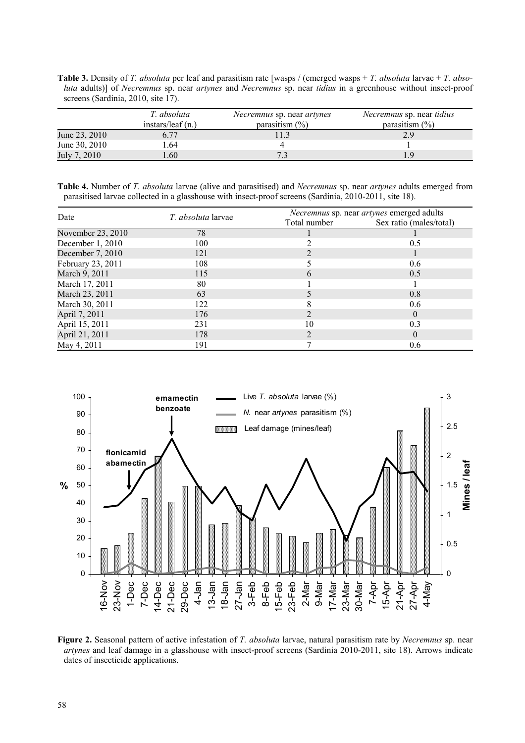**Table 3.** Density of *T. absoluta* per leaf and parasitism rate [wasps / (emerged wasps + *T. absoluta* larvae + *T. absoluta* adults)] of *Necremnus* sp. near *artynes* and *Necremnus* sp. near *tidius* in a greenhouse without insect-proof screens (Sardinia, 2010, site 17).

|               | T. absoluta<br>instars/leaf $(n_0)$ | <i>Necremnus</i> sp. near <i>artynes</i><br>parasitism $(\%)$ | <i>Necremnus</i> sp. near <i>tidius</i><br>parasitism $(\% )$ |
|---------------|-------------------------------------|---------------------------------------------------------------|---------------------------------------------------------------|
| June 23, 2010 | 6.77                                |                                                               |                                                               |
| June 30, 2010 | - 64                                |                                                               |                                                               |
| July 7, 2010  | 60                                  |                                                               | Q                                                             |

**Table 4.** Number of *T. absoluta* larvae (alive and parasitised) and *Necremnus* sp. near *artynes* adults emerged from parasitised larvae collected in a glasshouse with insect-proof screens (Sardinia, 2010-2011, site 18).

| Date              | <i>T. absoluta</i> larvae | Necremnus sp. near artynes emerged adults |                         |  |  |
|-------------------|---------------------------|-------------------------------------------|-------------------------|--|--|
|                   |                           | Total number                              | Sex ratio (males/total) |  |  |
| November 23, 2010 | 78                        |                                           |                         |  |  |
| December 1, 2010  | 100                       |                                           | 0.5                     |  |  |
| December 7, 2010  | 121                       |                                           |                         |  |  |
| February 23, 2011 | 108                       |                                           | 0.6                     |  |  |
| March 9, 2011     | 115                       | h                                         | 0.5                     |  |  |
| March 17, 2011    | 80                        |                                           |                         |  |  |
| March 23, 2011    | 63                        |                                           | 0.8                     |  |  |
| March 30, 2011    | 122                       |                                           | 0.6                     |  |  |
| April 7, 2011     | 176                       |                                           | $\theta$                |  |  |
| April 15, 2011    | 231                       | 10                                        | 0.3                     |  |  |
| April 21, 2011    | 178                       |                                           | $\theta$                |  |  |
| May 4, 2011       | 191                       |                                           | 0.6                     |  |  |



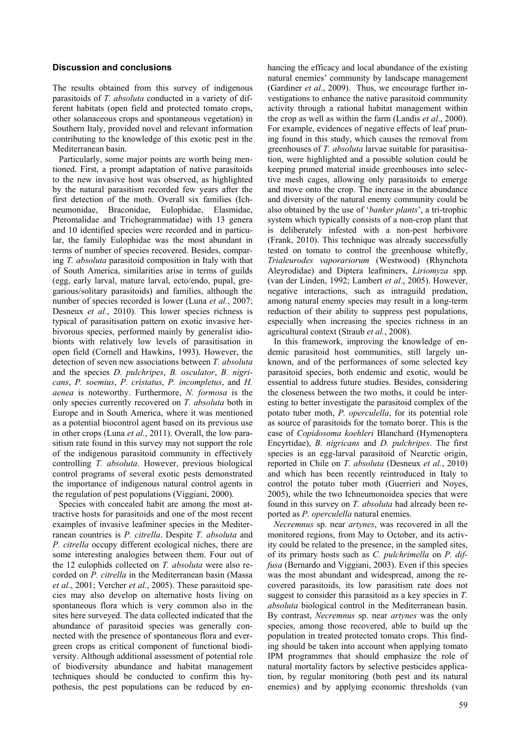# **Discussion and conclusions**

The results obtained from this survey of indigenous parasitoids of *T. absoluta* conducted in a variety of different habitats (open field and protected tomato crops, other solanaceous crops and spontaneous vegetation) in Southern Italy, provided novel and relevant information contributing to the knowledge of this exotic pest in the Mediterranean basin.

Particularly, some major points are worth being mentioned. First, a prompt adaptation of native parasitoids to the new invasive host was observed, as highlighted by the natural parasitism recorded few years after the first detection of the moth. Overall six families (Ichneumonidae, Braconidae, Eulophidae, Elasmidae, Pteromalidae and Trichogrammatidae) with 13 genera and 10 identified species were recorded and in particular, the family Eulophidae was the most abundant in terms of number of species recovered. Besides, comparing *T. absoluta* parasitoid composition in Italy with that of South America, similarities arise in terms of guilds (egg, early larval, mature larval, ecto/endo, pupal, gregarious/solitary parasitoids) and families, although the number of species recorded is lower (Luna *et al.*, 2007; Desneux *et al.*, 2010). This lower species richness is typical of parasitisation pattern on exotic invasive herbivorous species, performed mainly by generalist idiobionts with relatively low levels of parasitisation in open field (Cornell and Hawkins, 1993). However, the detection of seven new associations between *T. absoluta* and the species *D. pulchripes*, *B. osculator*, *B. nigricans*, *P. soemius*, *P. cristatus*, *P. incompletus*, and *H. aenea* is noteworthy. Furthermore, *N. formosa* is the only species currently recovered on *T. absoluta* both in Europe and in South America, where it was mentioned as a potential biocontrol agent based on its previous use in other crops (Luna *et al.*, 2011). Overall, the low parasitism rate found in this survey may not support the role of the indigenous parasitoid community in effectively controlling *T. absoluta*. However, previous biological control programs of several exotic pests demonstrated the importance of indigenous natural control agents in the regulation of pest populations (Viggiani, 2000).

Species with concealed habit are among the most attractive hosts for parasitoids and one of the most recent examples of invasive leafminer species in the Mediterranean countries is *P. citrella*. Despite *T. absoluta* and *P. citrella* occupy different ecological niches, there are some interesting analogies between them. Four out of the 12 eulophids collected on *T. absoluta* were also recorded on *P. citrella* in the Mediterranean basin (Massa *et al.*, 2001; Vercher *et al.*, 2005). These parasitoid species may also develop on alternative hosts living on spontaneous flora which is very common also in the sites here surveyed. The data collected indicated that the abundance of parasitoid species was generally connected with the presence of spontaneous flora and evergreen crops as critical component of functional biodiversity. Although additional assessment of potential role of biodiversity abundance and habitat management techniques should be conducted to confirm this hypothesis, the pest populations can be reduced by enhancing the efficacy and local abundance of the existing natural enemies' community by landscape management (Gardiner *et al*., 2009). Thus, we encourage further investigations to enhance the native parasitoid community activity through a rational habitat management within the crop as well as within the farm (Landis *et al*., 2000). For example, evidences of negative effects of leaf pruning found in this study, which causes the removal from greenhouses of *T. absoluta* larvae suitable for parasitisation, were highlighted and a possible solution could be keeping pruned material inside greenhouses into selective mesh cages, allowing only parasitoids to emerge and move onto the crop. The increase in the abundance and diversity of the natural enemy community could be also obtained by the use of '*banker plants*', a tri-trophic system which typically consists of a non-crop plant that is deliberately infested with a non-pest herbivore (Frank, 2010). This technique was already successfully tested on tomato to control the greenhouse whitefly, *Trialeurodes vaporariorum* (Westwood) (Rhynchota Aleyrodidae) and Diptera leafminers, *Liriomyza* spp. (van der Linden, 1992; Lambert *et al*., 2005). However, negative interactions, such as intraguild predation, among natural enemy species may result in a long-term reduction of their ability to suppress pest populations, especially when increasing the species richness in an agricultural context (Straub *et al.*, 2008).

In this framework, improving the knowledge of endemic parasitoid host communities, still largely unknown, and of the performances of some selected key parasitoid species, both endemic and exotic, would be essential to address future studies. Besides, considering the closeness between the two moths, it could be interesting to better investigate the parasitoid complex of the potato tuber moth, *P. operculella*, for its potential role as source of parasitoids for the tomato borer. This is the case of *Copidosoma koehleri* Blanchard (Hymenoptera Encyrtidae), *B. nigricans* and *D. pulchripes*. The first species is an egg-larval parasitoid of Nearctic origin, reported in Chile on *T. absoluta* (Desneux *et al.*, 2010) and which has been recently reintroduced in Italy to control the potato tuber moth (Guerrieri and Noyes, 2005), while the two Ichneumonoidea species that were found in this survey on *T. absoluta* had already been reported as *P. operculella* natural enemies.

*Necremnus* sp. near *artynes*, was recovered in all the monitored regions, from May to October, and its activity could be related to the presence, in the sampled sites, of its primary hosts such as *C. pulchrimella* on *P. diffusa* (Bernardo and Viggiani, 2003). Even if this species was the most abundant and widespread, among the recovered parasitoids, its low parasitism rate does not suggest to consider this parasitoid as a key species in *T. absoluta* biological control in the Mediterranean basin. By contrast, *Necremnus* sp. near *artynes* was the only species, among those recovered, able to build up the population in treated protected tomato crops. This finding should be taken into account when applying tomato IPM programmes that should emphasize the role of natural mortality factors by selective pesticides application, by regular monitoring (both pest and its natural enemies) and by applying economic thresholds (van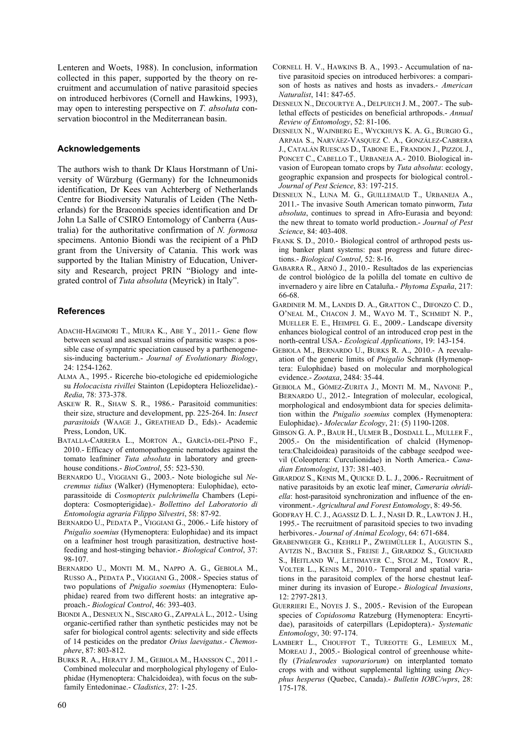Lenteren and Woets, 1988). In conclusion, information collected in this paper, supported by the theory on recruitment and accumulation of native parasitoid species on introduced herbivores (Cornell and Hawkins, 1993), may open to interesting perspective on *T. absoluta* conservation biocontrol in the Mediterranean basin.

# **Acknowledgements**

The authors wish to thank Dr Klaus Horstmann of University of Würzburg (Germany) for the Ichneumonids identification, Dr Kees van Achterberg of Netherlands Centre for Biodiversity Naturalis of Leiden (The Netherlands) for the Braconids species identification and Dr John La Salle of CSIRO Entomology of Canberra (Australia) for the authoritative confirmation of *N. formosa* specimens. Antonio Biondi was the recipient of a PhD grant from the University of Catania. This work was supported by the Italian Ministry of Education, University and Research, project PRIN "Biology and integrated control of *Tuta absoluta* (Meyrick) in Italy".

# **References**

- ADACHI-HAGIMORI T., MIURA K., ABE Y., 2011.- Gene flow between sexual and asexual strains of parasitic wasps: a possible case of sympatric speciation caused by a parthenogenesis-inducing bacterium.- *Journal of Evolutionary Biology*, 24: 1254-1262.
- ALMA A., 1995.- Ricerche bio-etologiche ed epidemiologiche su *Holocacista rivillei* Stainton (Lepidoptera Heliozelidae).- *Redia*, 78: 373-378.
- ASKEW R. R., SHAW S. R., 1986.- Parasitoid communities: their size, structure and development, pp. 225-264. In: *Insect parasitoids* (WAAGE J., GREATHEAD D., Eds).- Academic Press, London, UK.
- BATALLA-CARRERA L., MORTON A., GARCÌA-DEL-PINO F., 2010.- Efficacy of entomopathogenic nematodes against the tomato leafminer *Tuta absoluta* in laboratory and greenhouse conditions.- *BioControl*, 55: 523-530.
- BERNARDO U., VIGGIANI G., 2003.- Note biologiche sul *Necremnus tidius* (Walker) (Hymenoptera: Eulophidae), ectoparassitoide di *Cosmopterix pulchrimella* Chambers (Lepidoptera: Cosmopterigidae).- *Bollettino del Laboratorio di Entomologia agraria Filippo Silvestri*, 58: 87-92.
- BERNARDO U., PEDATA P., VIGGIANI G., 2006.- Life history of *Pnigalio soemius* (Hymenoptera: Eulophidae) and its impact on a leafminer host trough parasitization, destructive hostfeeding and host-stinging behavior.- *Biological Control*, 37: 98-107.
- BERNARDO U., MONTI M. M., NAPPO A. G., GEBIOLA M., RUSSO A., PEDATA P., VIGGIANI G., 2008.- Species status of two populations of *Pnigalio soemius* (Hymenoptera: Eulophidae) reared from two different hosts: an integrative approach.- *Biological Control*, 46: 393-403.
- BIONDI A., DESNEUX N., SISCARO G., ZAPPALÀ L., 2012.- Using organic-certified rather than synthetic pesticides may not be safer for biological control agents: selectivity and side effects of 14 pesticides on the predator *Orius laevigatus*.- *Chemosphere*, 87: 803-812.
- BURKS R. A., HERATY J. M., GEBIOLA M., HANSSON C., 2011.- Combined molecular and morphological phylogeny of Eulophidae (Hymenoptera: Chalcidoidea), with focus on the subfamily Entedoninae.- *Cladistics*, 27: 1-25.
- CORNELL H. V., HAWKINS B. A., 1993.- Accumulation of native parasitoid species on introduced herbivores: a comparison of hosts as natives and hosts as invaders.- *American Naturalist*, 141: 847-65.
- DESNEUX N., DECOURTYE A., DELPUECH J. M., 2007.- The sublethal effects of pesticides on beneficial arthropods.- *Annual Review of Entomology*, 52: 81-106.
- DESNEUX N., WAJNBERG E., WYCKHUYS K. A. G., BURGIO G., ARPAIA S., NARVÁEZ-VASQUEZ C. A., GONZÁLEZ-CABRERA J., CATALÁN RUESCAS D., TABONE E., FRANDON J., PIZZOL J., PONCET C., CABELLO T., URBANEJA A.- 2010. Biological invasion of European tomato crops by *Tuta absoluta*: ecology, geographic expansion and prospects for biological control.- *Journal of Pest Science*, 83: 197-215.
- DESNEUX N., LUNA M. G., GUILLEMAUD T., URBANEJA A., 2011.- The invasive South American tomato pinworm, *Tuta absoluta*, continues to spread in Afro-Eurasia and beyond: the new threat to tomato world production.- *Journal of Pest Science*, 84: 403-408.
- FRANK S. D., 2010.- Biological control of arthropod pests using banker plant systems: past progress and future directions.- *Biological Control*, 52: 8-16.
- GABARRA R., ARNÓ J., 2010.- Resultados de las experiencias de control biológico de la polilla del tomate en cultivo de invernadero y aire libre en Cataluña.- *Phytoma España*, 217: 66-68.
- GARDINER M. M., LANDIS D. A., GRATTON C., DIFONZO C. D., O'NEAL M., CHACON J. M., WAYO M. T., SCHMIDT N. P., MUELLER E. E., HEIMPEL G. E., 2009.- Landscape diversity enhances biological control of an introduced crop pest in the north-central USA.- *Ecological Applications*, 19: 143-154.
- GEBIOLA M., BERNARDO U., BURKS R. A., 2010.- A reevaluation of the generic limits of *Pnigalio* Schrank (Hymenoptera: Eulophidae) based on molecular and morphological evidence.- *Zootaxa*, 2484: 35-44.
- GEBIOLA M., GÓMEZ-ZURITA J., MONTI M. M., NAVONE P., BERNARDO U., 2012.- Integration of molecular, ecological, morphological and endosymbiont data for species delimitation within the *Pnigalio soemius* complex (Hymenoptera: Eulophidae).- *Molecular Ecology*, 21: (5) 1190-1208.
- GIBSON G. A. P., BAUR H., ULMER B., DOSDALL L., MULLER F., 2005.- On the misidentification of chalcid (Hymenoptera:Chalcidoidea) parasitoids of the cabbage seedpod weevil (Coleoptera: Curculionidae) in North America.- *Canadian Entomologist*, 137: 381-403.
- GIRARDOZ S., KENIS M., QUICKE D. L. J., 2006.- Recruitment of native parasitoids by an exotic leaf miner, *Cameraria ohridiella*: host-parasitoid synchronization and influence of the environment.- *Agricultural and Forest Entomology*, 8: 49-56.
- GODFRAY H. C. J., AGASSIZ D. L. J., NASH D. R., LAWTON J. H., 1995.- The recruitment of parasitoid species to two invading herbivores.- *Journal of Animal Ecology*, 64: 671-684.
- GRABENWEGER G., KEHRLI P., ZWEIMÜLLER I., AUGUSTIN S., AVTZIS N., BACHER S., FREISE J., GIRARDOZ S., GUICHARD S., HEITLAND W., LETHMAYER C., STOLZ M., TOMOV R., VOLTER L., KENIS M., 2010.- Temporal and spatial variations in the parasitoid complex of the horse chestnut leafminer during its invasion of Europe.- *Biological Invasions*, 12: 2797-2813.
- GUERRIERI E., NOYES J. S., 2005.- Revision of the European species of *Copidosoma* Ratzeburg (Hymenoptera: Encyrtidae), parasitoids of caterpillars (Lepidoptera).- *Systematic Entomology*, 30: 97-174.
- LAMBERT L., CHOUFFOT T., TUREOTTE G., LEMIEUX M., MOREAU J., 2005.- Biological control of greenhouse whitefly (*Trialeurodes vaporariorum*) on interplanted tomato crops with and without supplemental lighting using *Dicyphus hesperus* (Quebec, Canada).- *Bulletin IOBC/wprs*, 28: 175-178.